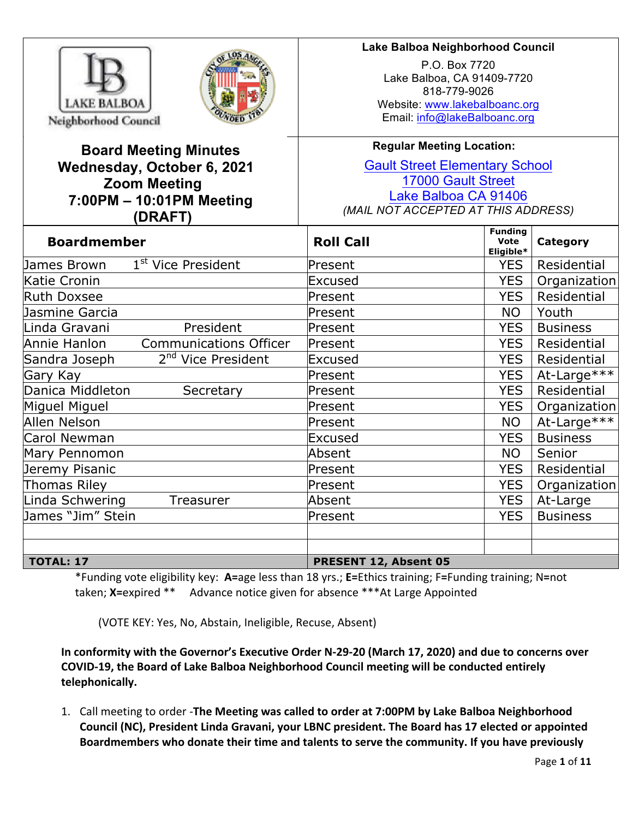



# **Board Meeting Minutes Wednesday, October 6, 2021 Zoom Meeting 7:00PM – 10:01PM Meeting (DRAFT)**

# **Lake Balboa Neighborhood Council**

P.O. Box 7720 Lake Balboa, CA 91409-7720 818-779-9026 Website: www.lakebalboanc.org Email: info@lakeBalboanc.org

# **Regular Meeting Location:**

Gault Street Elementary School 17000 Gault Street Lake Balboa CA 91406 *(MAIL NOT ACCEPTED AT THIS ADDRESS)*

| <b>Boardmember</b>                              | <b>Roll Call</b>      | <b>Funding</b><br><b>Vote</b><br>Category<br>Eligible* |                 |  |  |
|-------------------------------------------------|-----------------------|--------------------------------------------------------|-----------------|--|--|
| 1 <sup>st</sup> Vice President<br>James Brown   | Present               | <b>YES</b>                                             | Residential     |  |  |
| Katie Cronin                                    | Excused               | <b>YES</b>                                             | Organization    |  |  |
| <b>Ruth Doxsee</b>                              | Present               | <b>YES</b>                                             | Residential     |  |  |
| Jasmine Garcia                                  | Present               | <b>NO</b>                                              | Youth           |  |  |
| Linda Gravani<br>President                      | Present               | <b>YES</b>                                             | <b>Business</b> |  |  |
| Annie Hanlon<br><b>Communications Officer</b>   | Present               | <b>YES</b>                                             | Residential     |  |  |
| 2 <sup>nd</sup> Vice President<br>Sandra Joseph | Excused               | <b>YES</b>                                             | Residential     |  |  |
| Gary Kay                                        | Present               | <b>YES</b>                                             | At-Large***     |  |  |
| Danica Middleton<br>Secretary                   | Present               | <b>YES</b>                                             | Residential     |  |  |
| Miguel Miguel                                   | Present               | <b>YES</b>                                             | Organization    |  |  |
| Allen Nelson                                    | Present               | <b>NO</b>                                              | At-Large***     |  |  |
| Carol Newman                                    | Excused               | <b>YES</b>                                             | <b>Business</b> |  |  |
| Mary Pennomon                                   | Absent                | <b>NO</b>                                              | Senior          |  |  |
| Jeremy Pisanic                                  | Present               | <b>YES</b>                                             | Residential     |  |  |
| <b>Thomas Riley</b>                             | Present               | <b>YES</b>                                             | Organization    |  |  |
| Linda Schwering<br>Treasurer                    | Absent                | <b>YES</b>                                             | At-Large        |  |  |
| James "Jim" Stein                               | Present               | <b>YES</b>                                             | <b>Business</b> |  |  |
|                                                 |                       |                                                        |                 |  |  |
|                                                 |                       |                                                        |                 |  |  |
| <b>TOTAL: 17</b>                                | PRESENT 12, Absent 05 |                                                        |                 |  |  |

\*Funding vote eligibility key: **A=**age less than 18 yrs.; **E=**Ethics training; F**=**Funding training; N**=**not taken; X=expired \*\* Advance notice given for absence \*\*\*At Large Appointed

(VOTE KEY: Yes, No, Abstain, Ineligible, Recuse, Absent)

**In conformity with the Governor's Executive Order N-29-20 (March 17, 2020) and due to concerns over** COVID-19, the Board of Lake Balboa Neighborhood Council meeting will be conducted entirely **telephonically.**

1. Call meeting to order -**The Meeting was called to order at 7:00PM by Lake Balboa Neighborhood** Council (NC), President Linda Gravani, your LBNC president. The Board has 17 elected or appointed Boardmembers who donate their time and talents to serve the community. If you have previously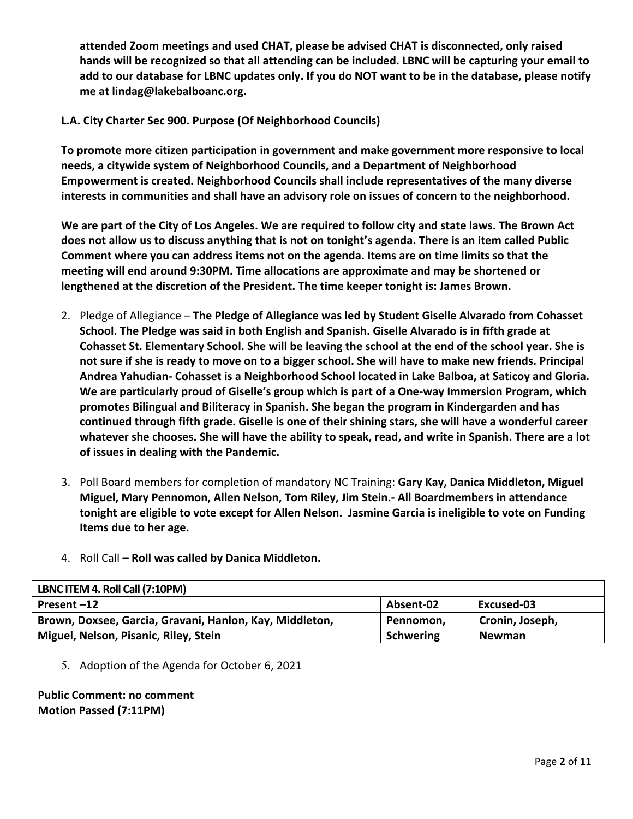attended Zoom meetings and used CHAT, please be advised CHAT is disconnected, only raised hands will be recognized so that all attending can be included. LBNC will be capturing your email to add to our database for LBNC updates only. If you do NOT want to be in the database, please notify me at lindag@lakebalboanc.org.

# L.A. City Charter Sec 900. Purpose (Of Neighborhood Councils)

To promote more citizen participation in government and make government more responsive to local needs, a citywide system of Neighborhood Councils, and a Department of Neighborhood **Empowerment is created. Neighborhood Councils shall include representatives of the many diverse** interests in communities and shall have an advisory role on issues of concern to the neighborhood.

We are part of the City of Los Angeles. We are required to follow city and state laws. The Brown Act does not allow us to discuss anything that is not on tonight's agenda. There is an item called Public Comment where you can address items not on the agenda. Items are on time limits so that the meeting will end around 9:30PM. Time allocations are approximate and may be shortened or lengthened at the discretion of the President. The time keeper tonight is: James Brown.

- 2. Pledge of Allegiance The Pledge of Allegiance was led by Student Giselle Alvarado from Cohasset School. The Pledge was said in both English and Spanish. Giselle Alvarado is in fifth grade at Cohasset St. Elementary School. She will be leaving the school at the end of the school year. She is not sure if she is ready to move on to a bigger school. She will have to make new friends. Principal Andrea Yahudian- Cohasset is a Neighborhood School located in Lake Balboa, at Saticoy and Gloria. We are particularly proud of Giselle's group which is part of a One-way Immersion Program, which promotes Bilingual and Biliteracy in Spanish. She began the program in Kindergarden and has continued through fifth grade. Giselle is one of their shining stars, she will have a wonderful career whatever she chooses. She will have the ability to speak, read, and write in Spanish. There are a lot of issues in dealing with the Pandemic.
- 3. Poll Board members for completion of mandatory NC Training: Gary Kay, Danica Middleton, Miguel Miguel, Mary Pennomon, Allen Nelson, Tom Riley, Jim Stein.- All Boardmembers in attendance tonight are eligible to vote except for Allen Nelson. Jasmine Garcia is ineligible to vote on Funding **Items due to her age.**
- 4. Roll Call **Roll was called by Danica Middleton.**

| LBNC ITEM 4. Roll Call (7:10PM)                         |                  |                 |
|---------------------------------------------------------|------------------|-----------------|
| Present-12                                              | Absent-02        | Excused-03      |
| Brown, Doxsee, Garcia, Gravani, Hanlon, Kay, Middleton, | Pennomon,        | Cronin, Joseph, |
| Miguel, Nelson, Pisanic, Riley, Stein                   | <b>Schwering</b> | <b>Newman</b>   |

5. Adoption of the Agenda for October 6, 2021

# **Public Comment: no comment Motion Passed (7:11PM)**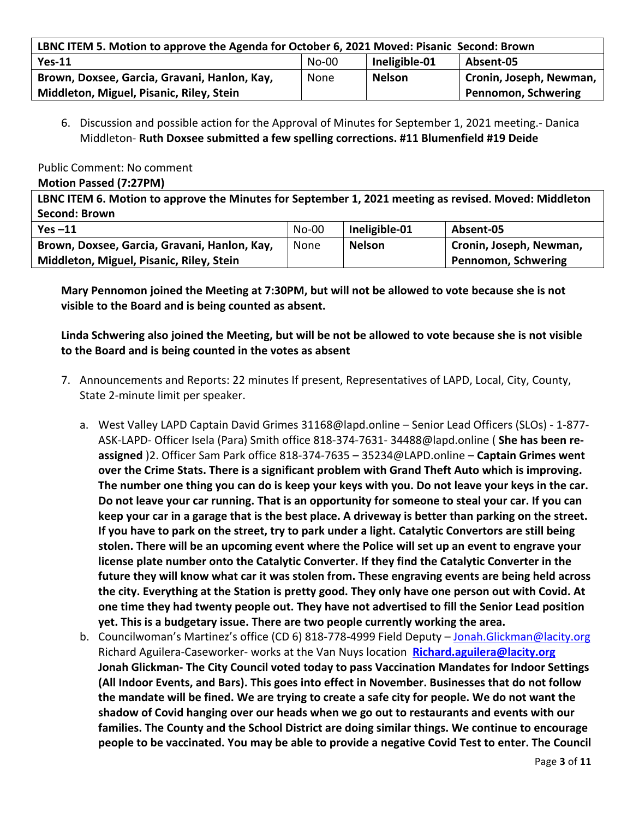| LBNC ITEM 5. Motion to approve the Agenda for October 6, 2021 Moved: Pisanic Second: Brown |         |               |                         |  |  |
|--------------------------------------------------------------------------------------------|---------|---------------|-------------------------|--|--|
| $Yes-11$                                                                                   | $No-00$ | Ineligible-01 | Absent-05               |  |  |
| Brown, Doxsee, Garcia, Gravani, Hanlon, Kay,                                               | None    | <b>Nelson</b> | Cronin, Joseph, Newman, |  |  |
| <b>Pennomon, Schwering</b><br>Middleton, Miguel, Pisanic, Riley, Stein                     |         |               |                         |  |  |

6. Discussion and possible action for the Approval of Minutes for September 1, 2021 meeting.- Danica Middleton- **Ruth Doxsee submitted a few spelling corrections.** #11 Blumenfield #19 Deide

### Public Comment: No comment

### **Motion Passed (7:27PM)**

**LBNC ITEM 6. Motion to approve the Minutes for September 1, 2021 meeting as revised. Moved: Middleton Second: Brown**

| Yes $-11$                                    | $No-00$ | Ineligible-01 | Absent-05               |
|----------------------------------------------|---------|---------------|-------------------------|
| Brown, Doxsee, Garcia, Gravani, Hanlon, Kay, | None    | <b>Nelson</b> | Cronin, Joseph, Newman, |
| Middleton, Miguel, Pisanic, Riley, Stein     |         |               | Pennomon, Schwering     |

**Mary Pennomon joined the Meeting at 7:30PM, but will not be allowed to vote because she is not visible to the Board and is being counted as absent.**

# Linda Schwering also joined the Meeting, but will be not be allowed to vote because she is not visible to the Board and is being counted in the votes as absent

- 7. Announcements and Reports: 22 minutes If present, Representatives of LAPD, Local, City, County, State 2-minute limit per speaker.
	- a. West Valley LAPD Captain David Grimes 31168@lapd.online Senior Lead Officers (SLOs) 1-877-ASK-LAPD- Officer Isela (Para) Smith office 818-374-7631- 34488@lapd.online ( **She has been reassigned** )2. Officer Sam Park office 818-374-7635 – 35234@LAPD.online – **Captain Grimes went over the Crime Stats. There is a significant problem with Grand Theft Auto which is improving.** The number one thing you can do is keep your keys with you. Do not leave your keys in the car. Do not leave your car running. That is an opportunity for someone to steal your car. If you can **keep your car in a garage that is the best place. A driveway is better than parking on the street. If you have to park on the street, try to park under a light. Catalytic Convertors are still being** stolen. There will be an upcoming event where the Police will set up an event to engrave your **license plate number onto the Catalytic Converter. If they find the Catalytic Converter in the** future they will know what car it was stolen from. These engraving events are being held across the city. Everything at the Station is pretty good. They only have one person out with Covid. At one time they had twenty people out. They have not advertised to fill the Senior Lead position **yet.** This is a budgetary issue. There are two people currently working the area.
	- b. Councilwoman's Martinez's office (CD 6) 818-778-4999 Field Deputy Jonah.Glickman@lacity.org Richard Aguilera-Caseworker- works at the Van Nuys location **Richard.aguilera@lacity.org Jonah Glickman-** The City Council voted today to pass Vaccination Mandates for Indoor Settings (All Indoor Events, and Bars). This goes into effect in November. Businesses that do not follow the mandate will be fined. We are trying to create a safe city for people. We do not want the shadow of Covid hanging over our heads when we go out to restaurants and events with our families. The County and the School District are doing similar things. We continue to encourage **people to be vaccinated. You may be able to provide a negative Covid Test to enter. The Council**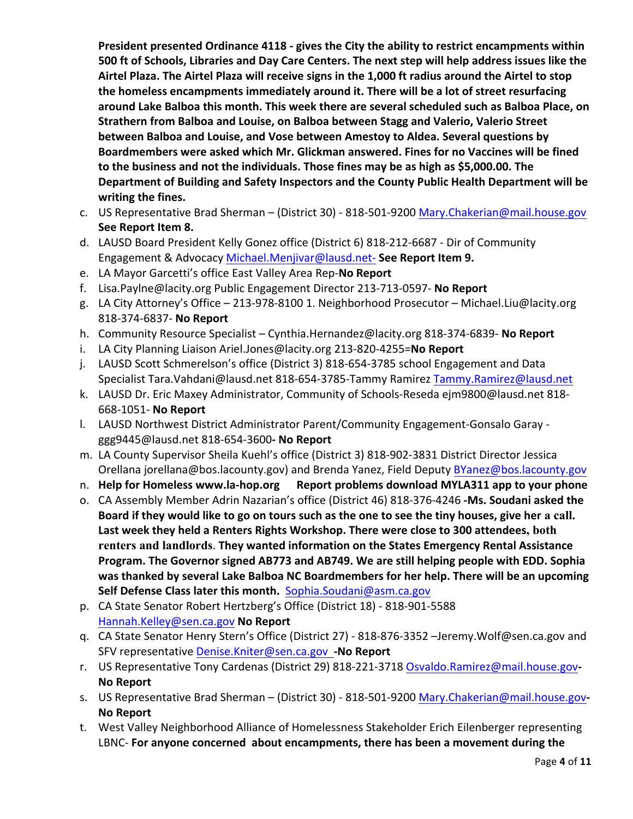President presented Ordinance 4118 - gives the City the ability to restrict encampments within **500 ft of Schools, Libraries and Day Care Centers. The next step will help address issues like the** Airtel Plaza. The Airtel Plaza will receive signs in the 1,000 ft radius around the Airtel to stop the homeless encampments immediately around it. There will be a lot of street resurfacing around Lake Balboa this month. This week there are several scheduled such as Balboa Place, on Strathern from Balboa and Louise, on Balboa between Stagg and Valerio, Valerio Street **between Balboa and Louise, and Vose between Amestoy to Aldea. Several questions by** Boardmembers were asked which Mr. Glickman answered. Fines for no Vaccines will be fined to the business and not the individuals. Those fines may be as high as \$5,000.00. The Department of Building and Safety Inspectors and the County Public Health Department will be **writing the fines.**

- c. US Representative Brad Sherman (District 30) 818-501-9200 Mary.Chakerian@mail.house.gov **See Report Item 8.**
- d. LAUSD Board President Kelly Gonez office (District 6) 818-212-6687 Dir of Community Engagement & Advocacy Michael.Menjivar@lausd.net- See Report Item 9.
- e. LA Mayor Garcetti's office East Valley Area Rep-**No Report**
- f. Lisa.Paylne@lacity.org Public Engagement Director 213-713-0597- **No Report**
- g. LA City Attorney's Office 213-978-8100 1. Neighborhood Prosecutor Michael.Liu@lacity.org 818-374-6837- **No Report**
- h. Community Resource Specialist Cynthia.Hernandez@lacity.org 818-374-6839- No Report
- i. LA City Planning Liaison Ariel.Jones@lacity.org 213-820-4255=No Report
- j. LAUSD Scott Schmerelson's office (District 3) 818-654-3785 school Engagement and Data Specialist Tara.Vahdani@lausd.net 818-654-3785-Tammy Ramirez Tammy.Ramirez@lausd.net
- k. LAUSD Dr. Eric Maxey Administrator, Community of Schools-Reseda ejm9800@lausd.net 818-668-1051- **No Report**
- l. LAUSD Northwest District Administrator Parent/Community Engagement-Gonsalo Garay ggg9445@lausd.net 818-654-3600**- No Report**
- m. LA County Supervisor Sheila Kuehl's office (District 3) 818-902-3831 District Director Jessica Orellana jorellana@bos.lacounty.gov) and Brenda Yanez, Field Deputy BYanez@bos.lacounty.gov
- n. Help for Homeless www.la-hop.org Report problems download MYLA311 app to your phone
- o. CA Assembly Member Adrin Nazarian's office (District 46) 818-376-4246 -Ms. Soudani asked the Board if they would like to go on tours such as the one to see the tiny houses, give her a call. Last week they held a Renters Rights Workshop. There were close to 300 attendees, both renters and landlords. They wanted information on the States Emergency Rental Assistance Program. The Governor signed AB773 and AB749. We are still helping people with EDD. Sophia was thanked by several Lake Balboa NC Boardmembers for her help. There will be an upcoming Self Defense Class later this month. Sophia.Soudani@asm.ca.gov
- p. CA State Senator Robert Hertzberg's Office (District 18) 818-901-5588 Hannah.Kelley@sen.ca.gov **No Report**
- q. CA State Senator Henry Stern's Office (District 27) 818-876-3352 -Jeremy.Wolf@sen.ca.gov and SFV representative Denise.Kniter@sen.ca.gov -No Report
- r. US Representative Tony Cardenas (District 29) 818-221-3718 Osvaldo.Ramirez@mail.house.gov-**No Report**
- s. US Representative Brad Sherman (District 30) 818-501-9200 Mary.Chakerian@mail.house.gov-**No Report**
- t. West Valley Neighborhood Alliance of Homelessness Stakeholder Erich Eilenberger representing LBNC- For anyone concerned about encampments, there has been a movement during the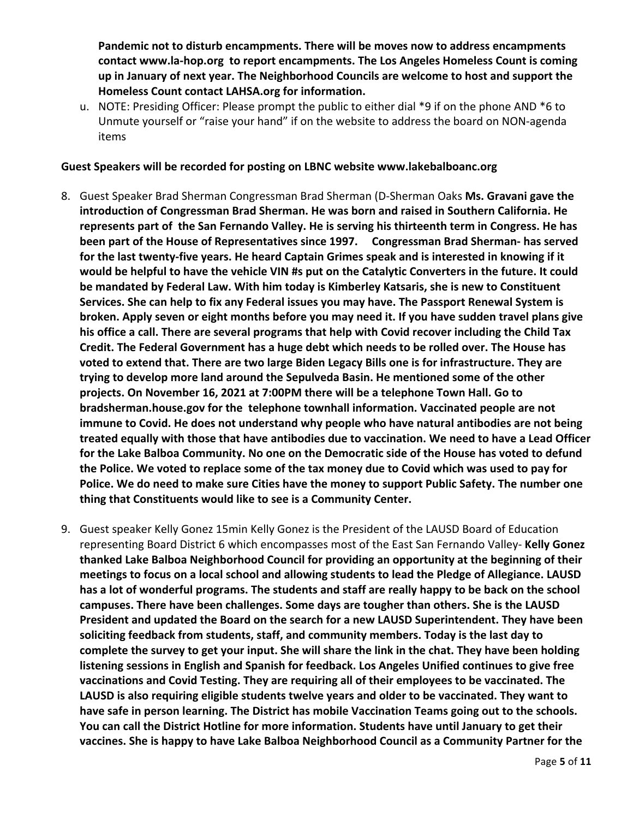Pandemic not to disturb encampments. There will be moves now to address encampments contact www.la-hop.org to report encampments. The Los Angeles Homeless Count is coming up in January of next year. The Neighborhood Councils are welcome to host and support the Homeless Count contact LAHSA.org for information.

u. NOTE: Presiding Officer: Please prompt the public to either dial \*9 if on the phone AND \*6 to Unmute yourself or "raise your hand" if on the website to address the board on NON-agenda items

### Guest Speakers will be recorded for posting on LBNC website www.lakebalboanc.org

- 8. Guest Speaker Brad Sherman Congressman Brad Sherman (D-Sherman Oaks Ms. Gravani gave the introduction of Congressman Brad Sherman. He was born and raised in Southern California. He represents part of the San Fernando Valley. He is serving his thirteenth term in Congress. He has **been part of the House of Representatives since 1997. Congressman Brad Sherman- has served** for the last twenty-five years. He heard Captain Grimes speak and is interested in knowing if it would be helpful to have the vehicle VIN #s put on the Catalytic Converters in the future. It could be mandated by Federal Law. With him today is Kimberley Katsaris, she is new to Constituent Services. She can help to fix any Federal issues you may have. The Passport Renewal System is **broken.** Apply seven or eight months before you may need it. If you have sudden travel plans give his office a call. There are several programs that help with Covid recover including the Child Tax Credit. The Federal Government has a huge debt which needs to be rolled over. The House has voted to extend that. There are two large Biden Legacy Bills one is for infrastructure. They are trying to develop more land around the Sepulveda Basin. He mentioned some of the other projects. On November 16, 2021 at 7:00PM there will be a telephone Town Hall. Go to **bradsherman.house.gov for the telephone townhall information. Vaccinated people are not immune to Covid. He does not understand why people who have natural antibodies are not being** treated equally with those that have antibodies due to vaccination. We need to have a Lead Officer for the Lake Balboa Community. No one on the Democratic side of the House has voted to defund the Police. We voted to replace some of the tax money due to Covid which was used to pay for Police. We do need to make sure Cities have the money to support Public Safety. The number one thing that Constituents would like to see is a Community Center.
- 9. Guest speaker Kelly Gonez 15min Kelly Gonez is the President of the LAUSD Board of Education representing Board District 6 which encompasses most of the East San Fernando Valley- Kelly Gonez thanked Lake Balboa Neighborhood Council for providing an opportunity at the beginning of their meetings to focus on a local school and allowing students to lead the Pledge of Allegiance. LAUSD has a lot of wonderful programs. The students and staff are really happy to be back on the school campuses. There have been challenges. Some days are tougher than others. She is the LAUSD President and updated the Board on the search for a new LAUSD Superintendent. They have been soliciting feedback from students, staff, and community members. Today is the last day to complete the survey to get your input. She will share the link in the chat. They have been holding listening sessions in English and Spanish for feedback. Los Angeles Unified continues to give free vaccinations and Covid Testing. They are requiring all of their employees to be vaccinated. The LAUSD is also requiring eligible students twelve years and older to be vaccinated. They want to have safe in person learning. The District has mobile Vaccination Teams going out to the schools. You can call the District Hotline for more information. Students have until January to get their vaccines. She is happy to have Lake Balboa Neighborhood Council as a Community Partner for the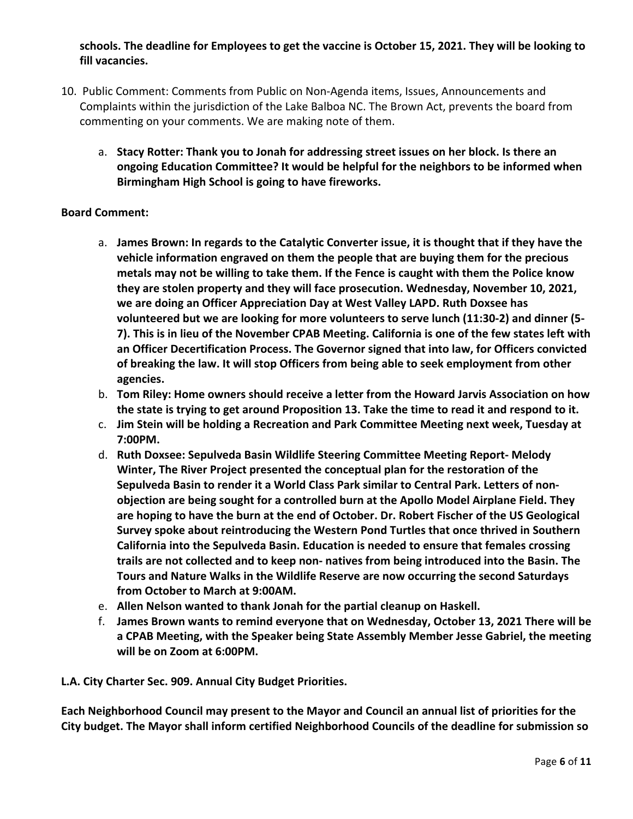schools. The deadline for Employees to get the vaccine is October 15, 2021. They will be looking to fill vacancies.

- 10. Public Comment: Comments from Public on Non-Agenda items, Issues, Announcements and Complaints within the jurisdiction of the Lake Balboa NC. The Brown Act, prevents the board from commenting on your comments. We are making note of them.
	- a. Stacy Rotter: Thank you to Jonah for addressing street issues on her block. Is there an ongoing Education Committee? It would be helpful for the neighbors to be informed when Birmingham High School is going to have fireworks.

# **Board Comment:**

- a. James Brown: In regards to the Catalytic Converter issue, it is thought that if they have the vehicle information engraved on them the people that are buying them for the precious metals may not be willing to take them. If the Fence is caught with them the Police know they are stolen property and they will face prosecution. Wednesday, November 10, 2021, we are doing an Officer Appreciation Day at West Valley LAPD. Ruth Doxsee has **volunteered but we are looking for more volunteers to serve lunch (11:30-2) and dinner (5- 7).** This is in lieu of the November CPAB Meeting. California is one of the few states left with an Officer Decertification Process. The Governor signed that into law, for Officers convicted of breaking the law. It will stop Officers from being able to seek employment from other **agencies.**
- b. **Tom Riley: Home owners should receive a letter from the Howard Jarvis Association on how** the state is trying to get around Proposition 13. Take the time to read it and respond to it.
- c. Jim Stein will be holding a Recreation and Park Committee Meeting next week, Tuesday at **7:00PM.**
- d. Ruth Doxsee: Sepulveda Basin Wildlife Steering Committee Meeting Report- Melody **Winter, The River Project presented the conceptual plan for the restoration of the** Sepulveda Basin to render it a World Class Park similar to Central Park. Letters of nonobjection are being sought for a controlled burn at the Apollo Model Airplane Field. They are hoping to have the burn at the end of October. Dr. Robert Fischer of the US Geological Survey spoke about reintroducing the Western Pond Turtles that once thrived in Southern California into the Sepulveda Basin. Education is needed to ensure that females crossing trails are not collected and to keep non- natives from being introduced into the Basin. The **Tours and Nature Walks in the Wildlife Reserve are now occurring the second Saturdays** from October to March at 9:00AM.
- e. Allen Nelson wanted to thank Jonah for the partial cleanup on Haskell.
- f. James Brown wants to remind everyone that on Wednesday, October 13, 2021 There will be a CPAB Meeting, with the Speaker being State Assembly Member Jesse Gabriel, the meeting will be on Zoom at 6:00PM.

**L.A. City Charter Sec. 909. Annual City Budget Priorities.**

Each Neighborhood Council may present to the Mayor and Council an annual list of priorities for the City budget. The Mayor shall inform certified Neighborhood Councils of the deadline for submission so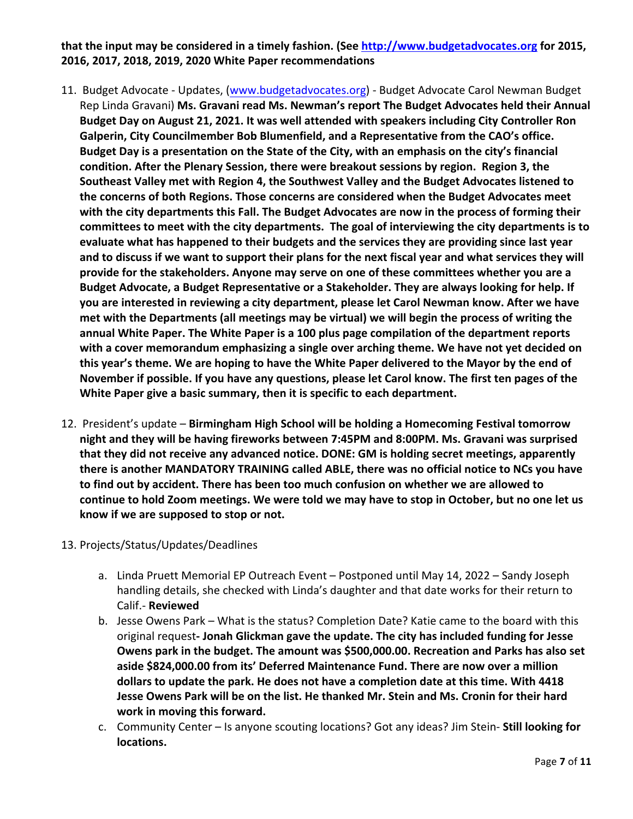# that the input may be considered in a timely fashion. (See http://www.budgetadvocates.org for 2015, 2016, 2017, 2018, 2019, 2020 White Paper recommendations

- 11. Budget Advocate Updates, (www.budgetadvocates.org) Budget Advocate Carol Newman Budget Rep Linda Gravani) Ms. Gravani read Ms. Newman's report The Budget Advocates held their Annual Budget Day on August 21, 2021. It was well attended with speakers including City Controller Ron Galperin, City Councilmember Bob Blumenfield, and a Representative from the CAO's office. Budget Day is a presentation on the State of the City, with an emphasis on the city's financial condition. After the Plenary Session, there were breakout sessions by region. Region 3, the Southeast Valley met with Region 4, the Southwest Valley and the Budget Advocates listened to **the concerns of both Regions. Those concerns are considered when the Budget Advocates meet** with the city departments this Fall. The Budget Advocates are now in the process of forming their committees to meet with the city departments. The goal of interviewing the city departments is to evaluate what has happened to their budgets and the services they are providing since last year and to discuss if we want to support their plans for the next fiscal year and what services they will provide for the stakeholders. Anyone may serve on one of these committees whether you are a Budget Advocate, a Budget Representative or a Stakeholder. They are always looking for help. If **you are interested in reviewing a city department, please let Carol Newman know. After we have** met with the Departments (all meetings may be virtual) we will begin the process of writing the annual White Paper. The White Paper is a 100 plus page compilation of the department reports with a cover memorandum emphasizing a single over arching theme. We have not yet decided on this year's theme. We are hoping to have the White Paper delivered to the Mayor by the end of November if possible. If you have any questions, please let Carol know. The first ten pages of the White Paper give a basic summary, then it is specific to each department.
- 12. President's update Birmingham High School will be holding a Homecoming Festival tomorrow night and they will be having fireworks between 7:45PM and 8:00PM. Ms. Gravani was surprised that they did not receive any advanced notice. DONE: GM is holding secret meetings, apparently there is another MANDATORY TRAINING called ABLE, there was no official notice to NCs you have to find out by accident. There has been too much confusion on whether we are allowed to continue to hold Zoom meetings. We were told we may have to stop in October, but no one let us know if we are supposed to stop or not.
- 13. Projects/Status/Updates/Deadlines
	- a. Linda Pruett Memorial EP Outreach Event Postponed until May 14, 2022 Sandy Joseph handling details, she checked with Linda's daughter and that date works for their return to Calif.- **Reviewed**
	- b. Jesse Owens Park What is the status? Completion Date? Katie came to the board with this original request- Jonah Glickman gave the update. The city has included funding for Jesse **Owens park in the budget. The amount was \$500,000.00. Recreation and Parks has also set** aside \$824,000.00 from its' Deferred Maintenance Fund. There are now over a million dollars to update the park. He does not have a completion date at this time. With 4418 **Jesse Owens Park will be on the list. He thanked Mr. Stein and Ms. Cronin for their hard work** in moving this forward.
	- c. Community Center Is anyone scouting locations? Got any ideas? Jim Stein- **Still looking for locations.**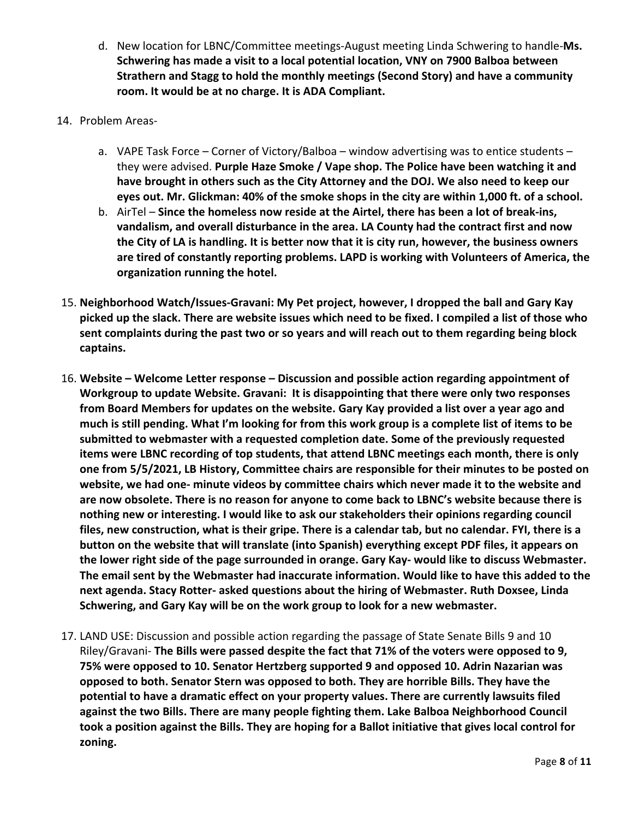- d. New location for LBNC/Committee meetings-August meeting Linda Schwering to handle-Ms. **Schwering has made a visit to a local potential location, VNY on 7900 Balboa between Strathern and Stagg to hold the monthly meetings (Second Story) and have a community** room. It would be at no charge. It is ADA Compliant.
- 14. Problem Areas
	- a. VAPE Task Force Corner of Victory/Balboa window advertising was to entice students they were advised. Purple Haze Smoke / Vape shop. The Police have been watching it and have brought in others such as the City Attorney and the DOJ. We also need to keep our eyes out. Mr. Glickman: 40% of the smoke shops in the city are within 1,000 ft. of a school.
	- b. AirTel Since the homeless now reside at the Airtel, there has been a lot of break-ins, vandalism, and overall disturbance in the area. LA County had the contract first and now the City of LA is handling. It is better now that it is city run, however, the business owners are tired of constantly reporting problems. LAPD is working with Volunteers of America, the organization running the hotel.
- 15. Neighborhood Watch/Issues-Gravani: My Pet project, however, I dropped the ball and Gary Kay picked up the slack. There are website issues which need to be fixed. I compiled a list of those who sent complaints during the past two or so years and will reach out to them regarding being block **captains.**
- 16. Website Welcome Letter response Discussion and possible action regarding appointment of Workgroup to update Website. Gravani: It is disappointing that there were only two responses from Board Members for updates on the website. Gary Kay provided a list over a year ago and much is still pending. What I'm looking for from this work group is a complete list of items to be submitted to webmaster with a requested completion date. Some of the previously requested items were LBNC recording of top students, that attend LBNC meetings each month, there is only one from 5/5/2021, LB History, Committee chairs are responsible for their minutes to be posted on website, we had one- minute videos by committee chairs which never made it to the website and are now obsolete. There is no reason for anyone to come back to LBNC's website because there is nothing new or interesting. I would like to ask our stakeholders their opinions regarding council files, new construction, what is their gripe. There is a calendar tab, but no calendar. FYI, there is a button on the website that will translate (into Spanish) everything except PDF files, it appears on the lower right side of the page surrounded in orange. Gary Kay- would like to discuss Webmaster. The email sent by the Webmaster had inaccurate information. Would like to have this added to the next agenda. Stacy Rotter- asked questions about the hiring of Webmaster. Ruth Doxsee, Linda Schwering, and Gary Kay will be on the work group to look for a new webmaster.
- 17. LAND USE: Discussion and possible action regarding the passage of State Senate Bills 9 and 10 Riley/Gravani- **The Bills were passed despite the fact that 71% of the voters were opposed to 9, 75%** were opposed to 10. Senator Hertzberg supported 9 and opposed 10. Adrin Nazarian was opposed to both. Senator Stern was opposed to both. They are horrible Bills. They have the potential to have a dramatic effect on your property values. There are currently lawsuits filed against the two Bills. There are many people fighting them. Lake Balboa Neighborhood Council took a position against the Bills. They are hoping for a Ballot initiative that gives local control for **zoning.**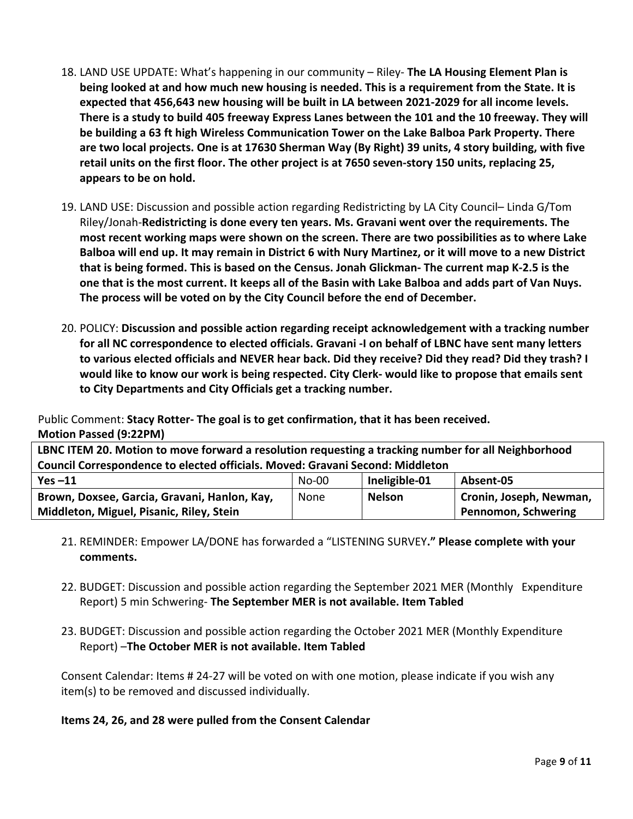- 18. LAND USE UPDATE: What's happening in our community Riley- **The LA Housing Element Plan is being looked at and how much new housing is needed. This is a requirement from the State. It is** expected that 456,643 new housing will be built in LA between 2021-2029 for all income levels. There is a study to build 405 freeway Express Lanes between the 101 and the 10 freeway. They will be building a 63 ft high Wireless Communication Tower on the Lake Balboa Park Property. There are two local projects. One is at 17630 Sherman Way (By Right) 39 units, 4 story building, with five retail units on the first floor. The other project is at 7650 seven-story 150 units, replacing 25, appears to be on hold.
- 19. LAND USE: Discussion and possible action regarding Redistricting by LA City Council– Linda G/Tom Riley/Jonah-Redistricting is done every ten years. Ms. Gravani went over the requirements. The most recent working maps were shown on the screen. There are two possibilities as to where Lake Balboa will end up. It may remain in District 6 with Nury Martinez, or it will move to a new District **that is being formed. This is based on the Census. Jonah Glickman- The current map K-2.5 is the one that is the most current. It keeps all of the Basin with Lake Balboa and adds part of Van Nuys.** The process will be voted on by the City Council before the end of December.
- 20. POLICY: Discussion and possible action regarding receipt acknowledgement with a tracking number for all NC correspondence to elected officials. Gravani -I on behalf of LBNC have sent many letters to various elected officials and NEVER hear back. Did they receive? Did they read? Did they trash? I would like to know our work is being respected. City Clerk- would like to propose that emails sent to City Departments and City Officials get a tracking number.

Public Comment: Stacy Rotter- The goal is to get confirmation, that it has been received. **Motion Passed (9:22PM)**

| LBNC ITEM 20. Motion to move forward a resolution requesting a tracking number for all Neighborhood |  |  |  |  |
|-----------------------------------------------------------------------------------------------------|--|--|--|--|
| Council Correspondence to elected officials. Moved: Gravani Second: Middleton                       |  |  |  |  |
| Ineligible-01<br>Absent-05<br>$No-00$<br>Yes $-11$                                                  |  |  |  |  |

| $YES -11$                                    | NO-UU | <b>Ineligible-UI</b> | <b>ADSENT-US</b>           |
|----------------------------------------------|-------|----------------------|----------------------------|
| Brown, Doxsee, Garcia, Gravani, Hanlon, Kay, | None  | <b>Nelson</b>        | Cronin, Joseph, Newman,    |
| Middleton, Miguel, Pisanic, Riley, Stein     |       |                      | <b>Pennomon, Schwering</b> |

- 21. REMINDER: Empower LA/DONE has forwarded a "LISTENING SURVEY." Please complete with your **comments.**
- 22. BUDGET: Discussion and possible action regarding the September 2021 MER (Monthly Expenditure Report) 5 min Schwering- The September MER is not available. Item Tabled
- 23. BUDGET: Discussion and possible action regarding the October 2021 MER (Monthly Expenditure **Report)** –**The October MER is not available. Item Tabled**

Consent Calendar: Items # 24-27 will be voted on with one motion, please indicate if you wish any item(s) to be removed and discussed individually.

# **Items 24, 26, and 28 were pulled from the Consent Calendar**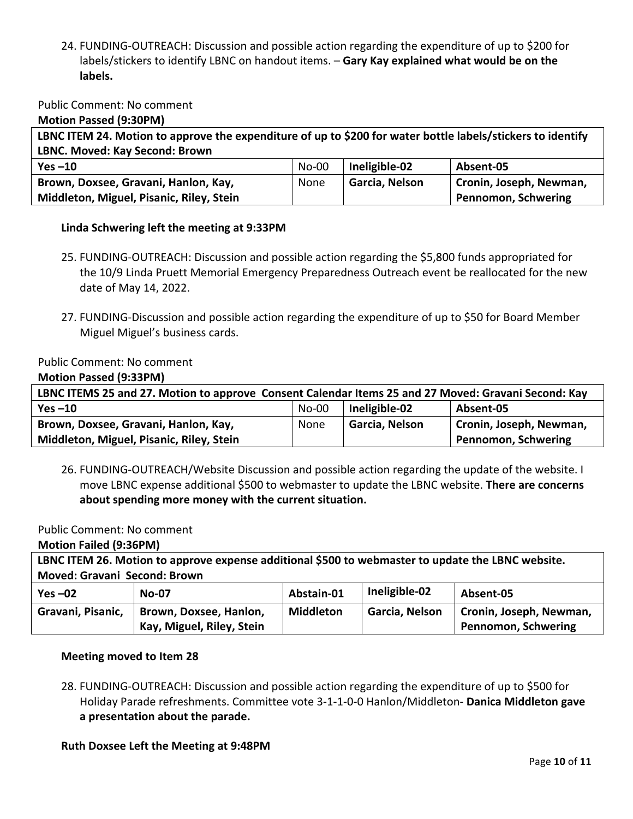24. FUNDING-OUTREACH: Discussion and possible action regarding the expenditure of up to \$200 for labels/stickers to identify LBNC on handout items. - Gary Kay explained what would be on the **labels.**

## Public Comment: No comment

**Motion Passed (9:30PM)**

LBNC ITEM 24. Motion to approve the expenditure of up to \$200 for water bottle labels/stickers to identify **LBNC. Moved: Kay Second: Brown**

| Yes $-10$                                | No-00 | Ineligible-02  | Absent-05                  |
|------------------------------------------|-------|----------------|----------------------------|
| Brown, Doxsee, Gravani, Hanlon, Kay,     | None  | Garcia, Nelson | Cronin, Joseph, Newman,    |
| Middleton, Miguel, Pisanic, Riley, Stein |       |                | <b>Pennomon, Schwering</b> |

### Linda Schwering left the meeting at 9:33PM

- 25. FUNDING-OUTREACH: Discussion and possible action regarding the \$5,800 funds appropriated for the 10/9 Linda Pruett Memorial Emergency Preparedness Outreach event be reallocated for the new date of May 14, 2022.
- 27. FUNDING-Discussion and possible action regarding the expenditure of up to \$50 for Board Member Miguel Miguel's business cards.

### Public Comment: No comment

#### **Motion Passed (9:33PM)**

| LBNC ITEMS 25 and 27. Motion to approve Consent Calendar Items 25 and 27 Moved: Gravani Second: Kay |         |                |                                      |  |
|-----------------------------------------------------------------------------------------------------|---------|----------------|--------------------------------------|--|
| Yes $-10$                                                                                           | $No-00$ | Ineligible-02  | Absent-05                            |  |
| Brown, Doxsee, Gravani, Hanlon, Kay,                                                                | None    | Garcia, Nelson | <sup>1</sup> Cronin, Joseph, Newman, |  |
| Middleton, Miguel, Pisanic, Riley, Stein                                                            |         |                | Pennomon, Schwering                  |  |

26. FUNDING-OUTREACH/Website Discussion and possible action regarding the update of the website. I move LBNC expense additional \$500 to webmaster to update the LBNC website. There are concerns about spending more money with the current situation.

### Public Comment: No comment

**Motion Failed (9:36PM)**

| LBNC ITEM 26. Motion to approve expense additional \$500 to webmaster to update the LBNC website. |                           |                  |                |                         |
|---------------------------------------------------------------------------------------------------|---------------------------|------------------|----------------|-------------------------|
| <b>Moved: Gravani Second: Brown</b>                                                               |                           |                  |                |                         |
| Yes $-02$                                                                                         | <b>No-07</b>              | Abstain-01       | Ineligible-02  | Absent-05               |
| Gravani, Pisanic,                                                                                 | Brown, Doxsee, Hanlon,    | <b>Middleton</b> | Garcia, Nelson | Cronin, Joseph, Newman, |
|                                                                                                   | Kay, Miguel, Riley, Stein |                  |                | Pennomon, Schwering     |

### **Meeting moved to Item 28**

28. FUNDING-OUTREACH: Discussion and possible action regarding the expenditure of up to \$500 for Holiday Parade refreshments. Committee vote 3-1-1-0-0 Hanlon/Middleton- Danica Middleton gave a presentation about the parade.

### **Ruth Doxsee Left the Meeting at 9:48PM**